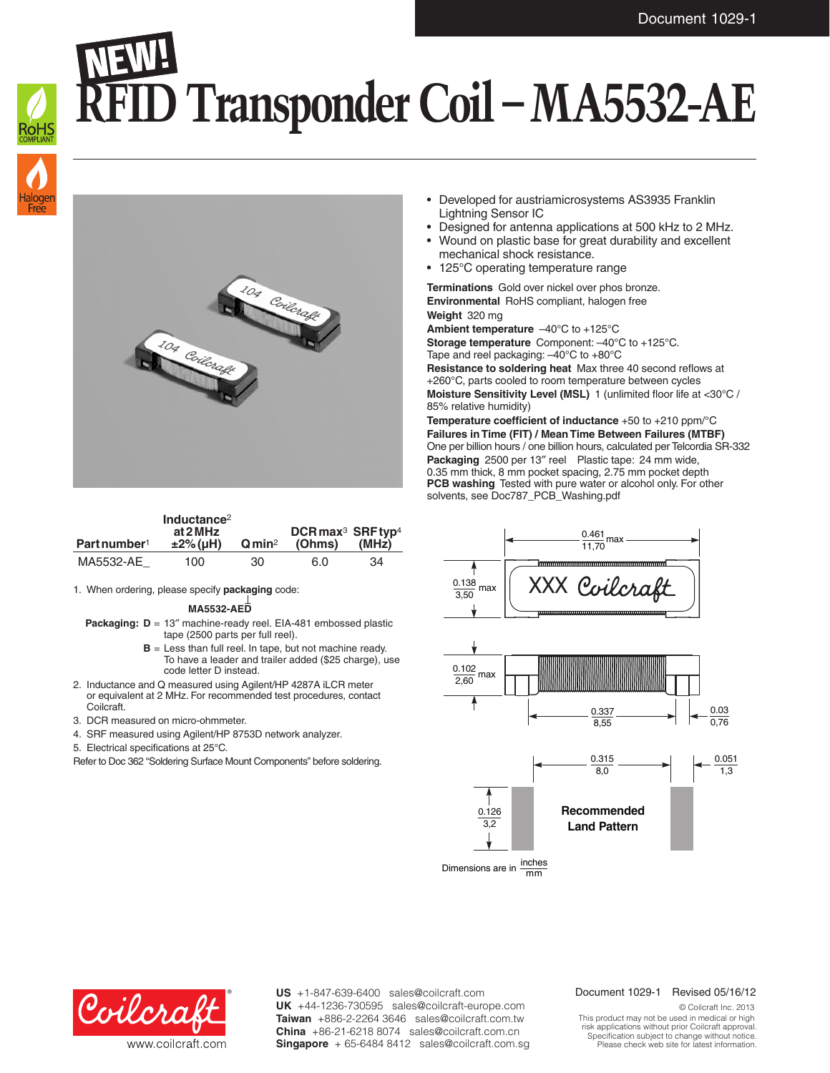## **RFID Transponder Coil – MA5532-AE**





| Part number <sup>1</sup> | Inductance <sup>2</sup><br>at 2 MHz<br>$±2\%$ (µH) | Qmin <sup>2</sup> | DCR max <sup>3</sup> SRF typ <sup>4</sup><br>(Ohms) | (MHz) |
|--------------------------|----------------------------------------------------|-------------------|-----------------------------------------------------|-------|
| MA5532-AE                | 100                                                | 30                | 6.0                                                 | 34    |

1. When ordering, please specify **packaging** code:

**MA5532-AED**

- **Packaging: D** = 13″ machine-ready reel. EIA-481 embossed plastic tape (2500 parts per full reel).
	- **B** = Less than full reel. In tape, but not machine ready. To have a leader and trailer added (\$25 charge), use code letter D instead.
- 2. Inductance and Q measured using Agilent/HP 4287A iLCR meter or equivalent at 2 MHz. For recommended test procedures, contact Coilcraft.
- 3. DCR measured on micro-ohmmeter.
- 4. SRF measured using Agilent/HP 8753D network analyzer.
- 5. Electrical specifications at 25°C.

Refer to Doc 362 "Soldering Surface Mount Components" before soldering.

- Developed for austriamicrosystems AS3935 Franklin Lightning Sensor IC
- Designed for antenna applications at 500 kHz to 2 MHz.
- Wound on plastic base for great durability and excellent mechanical shock resistance.
- 125°C operating temperature range

**Terminations** Gold over nickel over phos bronze. **Environmental** RoHS compliant, halogen free **Weight** 320 mg

**Ambient temperature** –40°C to +125°C **Storage temperature** Component: –40°C to +125°C.

Tape and reel packaging: –40°C to +80°C

**Resistance to soldering heat** Max three 40 second reflows at +260°C, parts cooled to room temperature between cycles **Moisture Sensitivity Level (MSL)** 1 (unlimited floor life at <30°C / 85% relative humidity)

**Temperature coefficient of inductance** +50 to +210 ppm/°C **Failures in Time (FIT) / Mean Time Between Failures (MTBF)** One per billion hours / one billion hours, calculated per Telcordia SR-332 **Packaging** 2500 per 13″ reel Plastic tape: 24 mm wide, 0.35 mm thick, 8 mm pocket spacing, 2.75 mm pocket depth **PCB washing** Tested with pure water or alcohol only. For other solvents, see Doc787\_PCB\_Washing.pdf





**US** +1-847-639-6400 sales@coilcraft.com **UK** +44-1236-730595 sales@coilcraft-europe.com **Taiwan** +886-2-2264 3646 sales@coilcraft.com.tw **China** +86-21-6218 8074 sales@coilcraft.com.cn **Singapore** + 65-6484 8412 sales@coilcraft.com.sg

## Document 1029-1 Revised 05/16/12

© Coilcraft Inc. 2013 This product may not be used in medical or high risk applications without prior Coilcraft approval. Specification subject to change without notice. Please check web site for latest information.